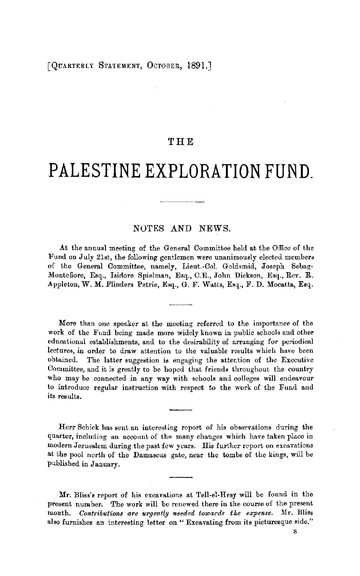## **THE**

## **PALESTINE EXPLORATION FUND.**

## NOTES AND NEWS.

At the annual meeting of the General Committee held at the Office of the Fund on July 21st, the following gentlemen were unanimously elected members of the General Committee, namely, Lieut.-Col. Goldsmid, Joseph Sebag-Montefiore, Esq., Isidore Spielman, Esq., C.E., John Dickson, Esq., Rev. R. Appleton, W. M. Flinders Petrie, Esq., G. F. Watts, Esq., F. D. Mocatta, Esq.

More than one speaker at the meeting referred lo the importance of the work of the Fund being made more widely known in public schools and other educational establishments, and to the desirability of arranging for periodical lectures, in order to draw attention to the valuable results which have been obtained. The latter suggestion is engaging the attention of the Executive Committee, and it is greatly to be hoped that friends throughout the country who may be connected in any way with schools and colleges will endeavour to introduce regular instruction with respect to the work of the Fund and its results.

Herr Schick has sent an interesting report of his observations during the quarter, including an account of the many changes which have taken place in modern Jerusalem during the past few years. His further report on excavations at the pool north of the Damascus gate, near the tombs of the kings, will be published in January.

Mr. Bliss's report of his excavations at Tell-el-Hesy will be found in the present number. The work will be renewed there in the course of the present month. *Contributions are urgently needed towards the expense.* Mr. Bliss also furnishes an interesting letter on "Excavating from its picturesque side."

s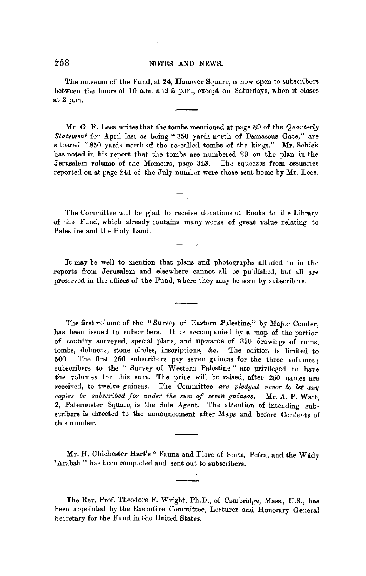The museum of the Fund, at 24, Hanover Square, is now open to subscribers between the honrs of 10 a.m. and 5 p.m., except on Saturdays, when it closes at 2 p.m.

**Mr.** G. R. Lees writes that the tombs mentioned at page 89 of the *Quarterly Statement* for April last as being " 350 yards north of Damascus Gate," are situated "850 yards north of the so-called tombs of the kings." Mr. Schick has noted in his report that the tombs are numbered 29 on the plan in the Jerusalem volume of the Memoirs, page 343. The squeezes from ossuaries reported on at page 241 of the July number were those sent home by Mr. Lees.

The Committee will be glad to receive donations of Books to the Library of the Fund, which already contains many works of great value relating to Palestine and the Holy Land.

It may be well to mention that plans and photographs alluded to in the reports from Jerusalem and elsewhere cannot all be published, but all are preserved in the offices of the Fund, where they may be seen by subscribers.

The first volume of the "Survey of Eastern Palestine," by Major Conder, has been issued to subscribers. It is accompanied by a map of the portion of country surveyed, special plans, and upwards of 350 drawings of ruins, tombs, dolmens, stone circles, inscriptions, &c. The edition is limited to 500. The first 250 subscribers pay seven guineas for the three volumes ; subscribers to the " Survey of Western Palestine" are privileged to have the volumes for this sum. The price will be raised, after 250 names are received, to twelve guineas. The Committee are pledged never to let any *copies be subscribed for under the sum of seven guineas.* Mr. A. P. Watt, 2, Paternoster Square, is the Sole Agent. The attention of intending subscribers is directed to the announcement after Maps and before Contents of this number.

Mr. H. Chichester Hart's " Fauna and Flora of Sinai, Petra, and the Wady 'Arabah" has been completed and sent out to subscribers.

The Rev. Prof. Theodore F. Wright, Ph.D., of Cambridge, Mass., U.S., has been appointed by the Executive Committee, Lecturer and Honorary General Secretary for the Fund in the United States.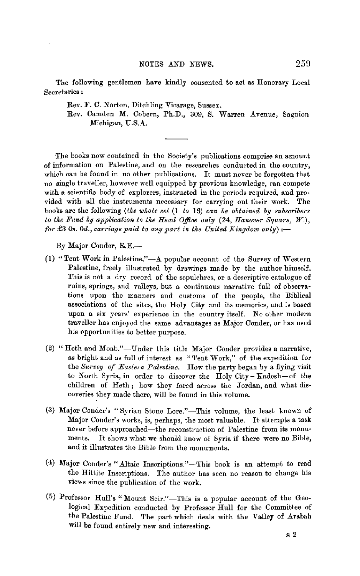The following gentlemen have kindly consented to act as Honorary Local **Secretaries** :.

Rev. F. C. Norton, Ditcbling Vicarage, Sussex.

Rev. Camden M. Cobern, Ph.D., 309, S. Warren Avenue, Sagnion Michigan, U.S.A.

The books now contained in the Society's publications comprise an amount of information on Palestine, and on the researches conducted in the country. which can be found in no other publications. It must never be forgotten that no single traveller, however well equipped by previous knowledge, ran compete with a scientific body of explorers, instructed in the periods required, and provided with all the instruments necessary for carrying out their work. The books are the following *(the whole set* **(1** *to* 15) *ean be obtained by subseribers to the Fund by application to the Head Office only (24, Hanover Square, W.), for* £3 *0s. 0d., carriage paid to any part in the United Kingdom only):-*

By Major Conder, R.E.-

- (1) "Tent Work in Palestine," $-A$  popular account of the Survey of Western Palestine, freely illustrated by drawings made by the author himself. This is not a dry record of the sepulchres, or a descriptive catalogue of ruins, springs, and valleys, but a continuous narmtive full of observations upon the manners and customs of the people, the Biblical associations of the sites, the Holy City and its memories, and is based upon a six years' experience **in** the country itself. No other modern traveller has enjoyed the same advantages as Major Conder, or has used his opportunities to better purpose.
- (2) "Heth and Moab."-Under this title Major Conder provides a narrative, as bright and as full of interest as "Tent Work," of the expedition for the *Survey of Eastern Palestine*. How the party began by a flying visit to North Syria., iu order to discover the Holy City-Xadesh-of the children of Heth; how they fared across the Jordan, and what discoveries they made there, will be found in this volume.
- (3) Major Conder's "Syrian Stone Lore."-This volume, the least known of Major Conder's works, is, perhaps, the most valuable. It attempts a task never before approached-the reconstruction of Palestine from its monuments. It shows what we should know of Syria if there were no Bible, and it illustrates the Bible from the monuments.
- (4) Major Conder's "Altaic Inscriptions."-This book is an attempt to read the Hittite Inscriptions. The author has seen no reason to change his views since the publication of the work.
- (5) Professor Hull's "Mount Seir."-This is a popular account of the Geological Expedition conducted by Professor Hull for tbe Committee of the Palestine Fund. The part which deals with the Valley of Arabah will be found entirely new and interesting.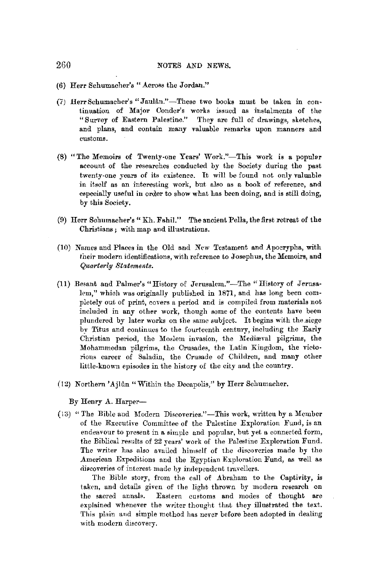- (6) Herr Schumacher's "Across the Jordan."
- (7) Herr Schumacher's "Jaulân."-These two books must be taken in continuation of Major Condcr's works issued as instalments of the "Survey of Eastern Palestine." They are full of drawings, sketches, and plans, and contain many valuable remarks upon manners and customs.
- (8) "The Memoirs of Twenty-one Years' Work."-This work is a popular account of the researches conducted by the Society during the past twenty-one years of its existence. It will be found not only valuable in itself as an interesting work, but also as a book of reference, and especially useful in order to show what has been doing, and is still doing, by this Society.
- (9) Herr Schumacher's" Kh. Fahil." The ancient Pella, the first retreat of the Christians ; with map and illustrations.
- (10) Names and Places in the Old and New Testament and Apocrypha, with their modern identifications, with reference to Josephus, the Memoirs, and *Quarterly Statements.*
- (11) Besant and Palmer's "History of Jerusalem."-The "History of Jerusalem," which was originally published in 1871, and has long been completely out of print, covers a period and is compiled from materials not included in any other work, though some of the contents have been plundered by later works on the same subject. It begins with the siege by Titus and continues to the fourteenth century, including the Early Christian period, the Moslem invasion, the Mediaval pilgrims, the Mohammedan pilgrims, the Crusades, the Latin Kingdom, the victorious career of Saladin, the Crusade of Children, and many other little-known episodes in the history of the city and the country.
- (12) Northern 'Ajlûn "Within the Decapolis," by Herr Schumacher.

By Henry A. Harper-

(\;,) "The Bible and Modern Discoveries,"-This work, written by a Member of the Executive Committee of the Palestine Exploration Fund, is an endeavour to present in a simple and popular, but yet a connected form, the Biblical results of 22 years' work of the Palestine Exploration Fund. The writer has also availed himself of the discoveries made by the American Expeditions and the Egyptian Exploration Fund, as well as discoveries of interest made hy independent travellers.

The Bible story, from the call of Abraham to the Captivity, is taken, and details given of the light thrown by modern research on the sacred annals. Eastern customs and modes of thought are explained whenever the writer thought that they illustrated the text. This plain and simple method has never before been adopted in dealing with modern discovery.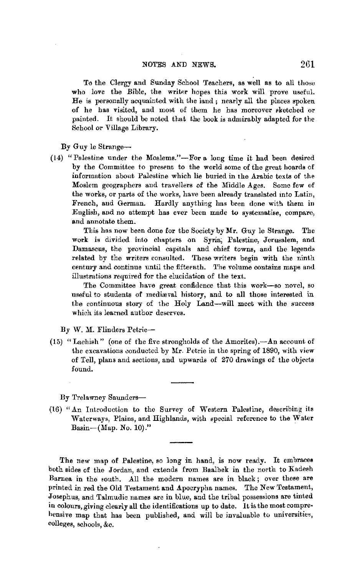To the Clergy and Sunday School Teachers, as well as to all those who love the Bible, the writer hopes this work will prove useful. He is personally acquainted with the land ; nearly all the places spoken of he has visited, and most of them he has moreover sketched or painted. It should be noted that the book is admirably adapted for the School or Village Library.

By Guy le Strange-

(14) "Palestine under the Moslems."-For a long time it had been desired by the Committee to presem; to the world some of the great hoards of information abont Palestine which lie buried in the Arabic texts of the Moslem geographers and travellers of the Middle Ages. Some few of the works, or parts of the works, have been already translated into Latin, French, aud German. Hardly anything has been done with them in English, and no attempt has ever been made to systematise, compare, and annotate them.

This has now been done for the Society by **Mr.** Guy le Strange. The work is divided into chapters on Syria; Palestine, Jerusalem, and Damascus, the provincial capitals and chief towns, and the legends related by the writers consulted. These writers begin with the ninth century and continue until the fifteenth. The volume contains maps and illustrations required for the elucidation of the text.

The Committee have great confidence that this work-so novel, so useful to students of mediæval history, and to all those interested in the continuous story of the Holy Land-will meet with the success which its learned author deserves.

By W. M. Flinders Petrie-

(15) "Lachish" (one of the five strongholds of the Amorites). $-An$  account of the excavations conducted by Mr. Petrie in the spring of 1890, with view of Tell, plans and sections, and upwards of 270 drawings of the objects found.

By Trelawney Saunders-

(16) "An Introduction to the Survey of Western Palestine, describing its Waterways, Plains, and Highlands, with special reference to the Water Basin- $(Map. No. 10).$ "

The new map of Palestine, so long in hand, is now ready. It embraces both sides of the Jordan, aud extends from Baalbek in the north to Kadesh Barnea in the south. All the modern names are in black; over these are printed in red the Old Testament and Apocrypha names. The New Testament, Josephus, and Talmudic names are in blue, and the tribal possessions are tinted in colours, giving clearly all the identifications up to date. It is the most comprehensive map that has been published, and will be invaluable to universities, colleges, schools, &c.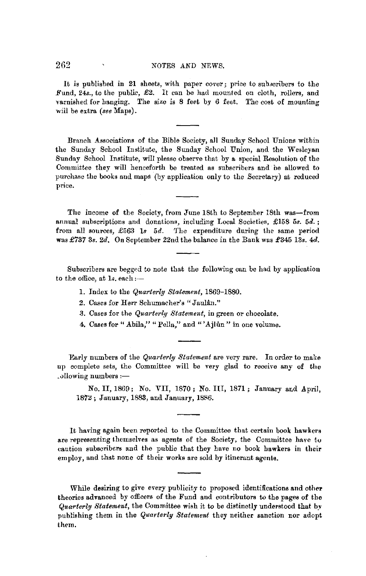It is published in 21 sheets, with paper cover; price to subscribers to the Fund, 24s., to the public, £2. It can be had mounted on cloth, rollers, and varnished for hanging. The size is 8 feet by 6 feet. The cost of mounting will be extra *(see* Maps).

Branch Associations of the Bible Society, all Sunday School Unions within the Sunday School Institute, the Sunday School Union, and the Wesleyan Sunday School Institute, will please observe that by a special Resolution of the Committee they will henceforth be treated as subscribers and be allowed to purchase the books and maps (by application only to the Secretary) at reduced price.

The income of the Society, from June 18th to September 18th was-from annual subscriptions and donations, including Local Societies, £158 *5s. 5d.* ; from all sources, £563 *Is 5d.* The expenditure during the same period was £737 3s. *2d.* On September 22nd the balance in the Bank was £345 13s. 4d.

Subscribers are begged to note that the following can be had by application to the office, at  $1s$ . each:-

- 1. Index to the *Quarterly Statement,* 1869-1880.
- 2. Cases for Herr Schumacher's "Jaulân."
- 3. Cases for the *Quarter(y Statement,* in green or chocolate.
- 4. Cases for "Abila," "Pella," and "'Ajlûn" in one volume.

Early numbers of the *Quarterly Statement* are very rare. In order to make up complete sets, the Committee will be very glad to receive any of the  $\lnot$ ollowing numbers : $\lnot$ 

No. II, 1869; No. VII, 1870; No. III, 1871; January ar.d April, 1872; January, 1883, and January, 1886.

It having again been reported to the Committee that certain book hawkers are representing themselves as agents of the Society, the Committee have to caution subscribers and the public that they have no book hawkers in their employ, and that none of their works are sold by itinerant agents.

While desiring to give every publicity to proposed identifications and other theories advanced by officers of the Fund and contributors to the pages of the *Quarterly Statement*, the Committee wish it to be distinctly understood that by publishing them in the *Quarterly Statement* they neither sanction nor adopt them.